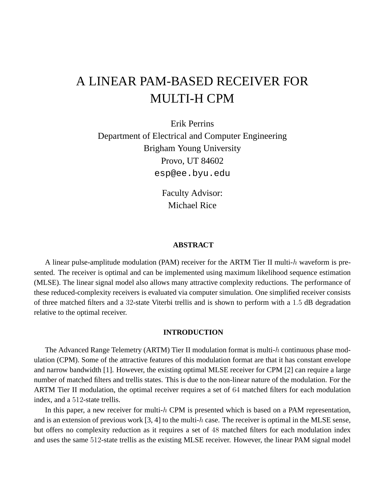# A LINEAR PAM-BASED RECEIVER FOR MULTI-H CPM

Erik Perrins Department of Electrical and Computer Engineering Brigham Young University Provo, UT 84602 esp@ee.byu.edu

> Faculty Advisor: Michael Rice

## **ABSTRACT**

A linear pulse-amplitude modulation (PAM) receiver for the ARTM Tier II multi-h waveform is presented. The receiver is optimal and can be implemented using maximum likelihood sequence estimation (MLSE). The linear signal model also allows many attractive complexity reductions. The performance of these reduced-complexity receivers is evaluated via computer simulation. One simplified receiver consists of three matched filters and a 32-state Viterbi trellis and is shown to perform with a 1.5 dB degradation relative to the optimal receiver.

## **INTRODUCTION**

The Advanced Range Telemetry (ARTM) Tier II modulation format is multi-h continuous phase modulation (CPM). Some of the attractive features of this modulation format are that it has constant envelope and narrow bandwidth [1]. However, the existing optimal MLSE receiver for CPM [2] can require a large number of matched filters and trellis states. This is due to the non-linear nature of the modulation. For the ARTM Tier II modulation, the optimal receiver requires a set of 64 matched filters for each modulation index, and a 512-state trellis.

In this paper, a new receiver for multi- $h$  CPM is presented which is based on a PAM representation, and is an extension of previous work  $[3, 4]$  to the multi-h case. The receiver is optimal in the MLSE sense, but offers no complexity reduction as it requires a set of 48 matched filters for each modulation index and uses the same 512-state trellis as the existing MLSE receiver. However, the linear PAM signal model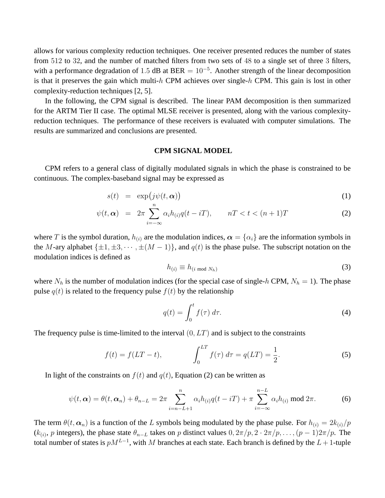allows for various complexity reduction techniques. One receiver presented reduces the number of states from 512 to 32, and the number of matched filters from two sets of 48 to a single set of three 3 filters, with a performance degradation of 1.5 dB at BER =  $10^{-5}$ . Another strength of the linear decomposition is that it preserves the gain which multi-h CPM achieves over single-h CPM. This gain is lost in other complexity-reduction techniques [2, 5].

In the following, the CPM signal is described. The linear PAM decomposition is then summarized for the ARTM Tier II case. The optimal MLSE receiver is presented, along with the various complexityreduction techniques. The performance of these receivers is evaluated with computer simulations. The results are summarized and conclusions are presented.

#### **CPM SIGNAL MODEL**

CPM refers to a general class of digitally modulated signals in which the phase is constrained to be continuous. The complex-baseband signal may be expressed as

$$
s(t) = \exp\bigl(j\psi(t,\boldsymbol{\alpha})\bigr) \tag{1}
$$

$$
\psi(t,\alpha) = 2\pi \sum_{i=-\infty}^{n} \alpha_i h_{(i)} q(t-iT), \qquad nT < t < (n+1)T
$$
 (2)

where T is the symbol duration,  $h_{(i)}$  are the modulation indices,  $\alpha = {\alpha_i}$  are the information symbols in the M-ary alphabet  $\{\pm 1, \pm 3, \cdots, \pm (M-1)\}\$ , and  $q(t)$  is the phase pulse. The subscript notation on the modulation indices is defined as

$$
h_{(i)} \equiv h_{(i \bmod N_h)}
$$
 (3)

where  $N_h$  is the number of modulation indices (for the special case of single-h CPM,  $N_h = 1$ ). The phase pulse  $q(t)$  is related to the frequency pulse  $f(t)$  by the relationship

$$
q(t) = \int_0^t f(\tau) d\tau.
$$
 (4)

The frequency pulse is time-limited to the interval  $(0, LT)$  and is subject to the constraints

$$
f(t) = f(LT - t), \qquad \int_0^{LT} f(\tau) d\tau = q(LT) = \frac{1}{2}.
$$
 (5)

In light of the constraints on  $f(t)$  and  $q(t)$ , Equation (2) can be written as

$$
\psi(t,\alpha) = \theta(t,\alpha_n) + \theta_{n-L} = 2\pi \sum_{i=n-L+1}^{n} \alpha_i h_{(i)} q(t-iT) + \pi \sum_{i=-\infty}^{n-L} \alpha_i h_{(i)} \bmod 2\pi.
$$
 (6)

The term  $\theta(t, \alpha_n)$  is a function of the L symbols being modulated by the phase pulse. For  $h_{(i)} = 2k_{(i)}/p$  $(k_{(i)}, p$  integers), the phase state  $\theta_{n-L}$  takes on p distinct values  $0, 2\pi/p, 2 \cdot 2\pi/p, \ldots, (p-1)2\pi/p$ . The total number of states is  $pM^{L-1}$ , with M branches at each state. Each branch is defined by the  $L+1$ -tuple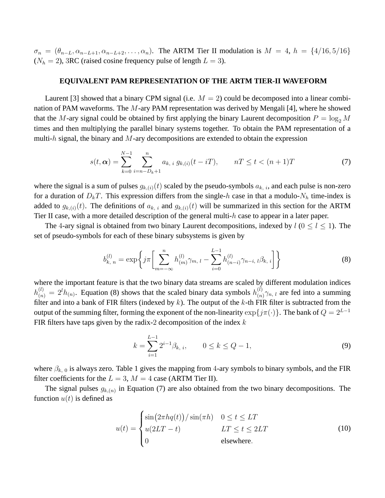$\sigma_n = (\theta_{n-L}, \alpha_{n-L+1}, \alpha_{n-L+2}, \ldots, \alpha_n)$ . The ARTM Tier II modulation is  $M = 4$ ,  $h = \{4/16, 5/16\}$  $(N_h = 2)$ , 3RC (raised cosine frequency pulse of length  $L = 3$ ).

## **EQUIVALENT PAM REPRESENTATION OF THE ARTM TIER-II WAVEFORM**

Laurent [3] showed that a binary CPM signal (i.e.  $M = 2$ ) could be decomposed into a linear combination of PAM waveforms. The M-ary PAM representation was derived by Mengali [4], where he showed that the M-ary signal could be obtained by first applying the binary Laurent decomposition  $P = \log_2 M$ times and then multiplying the parallel binary systems together. To obtain the PAM representation of a multi-h signal, the binary and  $M$ -ary decompositions are extended to obtain the expression

$$
s(t, \alpha) = \sum_{k=0}^{N-1} \sum_{i=n-D_k+1}^{n} a_{k, i} g_{k, (i)}(t - iT), \qquad nT \le t < (n+1)T
$$
 (7)

where the signal is a sum of pulses  $g_{k,(i)}(t)$  scaled by the pseudo-symbols  $a_{k,(i)}$ , and each pulse is non-zero for a duration of  $D_kT$ . This expression differs from the single-h case in that a modulo- $N_h$  time-index is added to  $g_{k,(i)}(t)$ . The definitions of  $a_{k,i}$  and  $g_{k,(i)}(t)$  will be summarized in this section for the ARTM Tier II case, with a more detailed description of the general multi-h case to appear in a later paper.

The 4-ary signal is obtained from two binary Laurent decompositions, indexed by  $l$  ( $0 \le l \le 1$ ). The set of pseudo-symbols for each of these binary subsystems is given by

$$
b_{k, n}^{(l)} = \exp\bigg\{j\pi \bigg[\sum_{m=-\infty}^{n} h_{(m)}^{(l)} \gamma_{m, l} - \sum_{i=0}^{L-1} h_{(n-i)}^{(l)} \gamma_{n-i, l} \beta_{k, i}\bigg]\bigg\}
$$
(8)

where the important feature is that the two binary data streams are scaled by different modulation indices  $h_{(n)}^{(l)} = 2^{l} h_{(n)}$ . Equation (8) shows that the scaled binary data symbols  $h_{(n)}^{(l)}$  $\binom{u}{(n)}$   $\gamma_{n, l}$  are fed into a summing filter and into a bank of FIR filters (indexed by  $k$ ). The output of the  $k$ -th FIR filter is subtracted from the output of the summing filter, forming the exponent of the non-linearity  $\exp\{j\pi(\cdot)\}\$ . The bank of  $Q = 2^{L-1}$ FIR filters have taps given by the radix-2 decomposition of the index  $k$ 

$$
k = \sum_{i=1}^{L-1} 2^{i-1} \beta_{k, i}, \qquad 0 \le k \le Q - 1,\tag{9}
$$

where  $\beta_{k,0}$  is always zero. Table 1 gives the mapping from 4-ary symbols to binary symbols, and the FIR filter coefficients for the  $L = 3$ ,  $M = 4$  case (ARTM Tier II).

The signal pulses  $g_{k,(n)}$  in Equation (7) are also obtained from the two binary decompositions. The function  $u(t)$  is defined as

$$
u(t) = \begin{cases} \sin(2\pi hq(t)) / \sin(\pi h) & 0 \le t \le LT \\ u(2LT - t) & LT \le t \le 2LT \\ 0 & \text{elsewhere.} \end{cases}
$$
(10)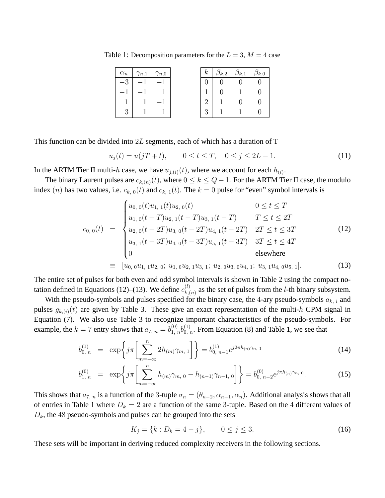Table 1: Decomposition parameters for the  $L = 3$ ,  $M = 4$  case

| $\alpha_n$ | $\gamma_{n,1}$ $\gamma_{n,0}$ | $k_{\perp}$ | $\beta_{k,2}$ | $\beta_{k,1}$ | $\beta_{k,0}$ |
|------------|-------------------------------|-------------|---------------|---------------|---------------|
| 2          |                               |             |               |               |               |
|            |                               |             |               |               |               |
|            |                               |             |               |               |               |
|            |                               | ച           |               |               |               |

This function can be divided into  $2L$  segments, each of which has a duration of T

$$
u_j(t) = u(jT + t), \qquad 0 \le t \le T, \quad 0 \le j \le 2L - 1. \tag{11}
$$

In the ARTM Tier II multi-h case, we have  $u_{j,(i)}(t)$ , where we account for each  $h_{(i)}$ .

The binary Laurent pulses are  $c_{k,(n)}(t)$ , where  $0 \le k \le Q-1$ . For the ARTM Tier II case, the modulo index (n) has two values, i.e.  $c_{k,0}(t)$  and  $c_{k,1}(t)$ . The  $k = 0$  pulse for "even" symbol intervals is

$$
c_{0,0}(t) = \begin{cases} u_{0,0}(t)u_{1,1}(t)u_{2,0}(t) & 0 \le t \le T \\ u_{1,0}(t-T)u_{2,1}(t-T)u_{3,1}(t-T) & T \le t \le 2T \\ u_{2,0}(t-2T)u_{3,0}(t-2T)u_{4,1}(t-2T) & 2T \le t \le 3T \\ u_{3,1}(t-3T)u_{4,0}(t-3T)u_{5,1}(t-3T) & 3T \le t \le 4T \\ 0 & \text{elsewhere} \end{cases}
$$
(12)  

$$
\equiv [u_{0,0}u_{1,1}u_{2,0}; u_{1,0}u_{2,1}u_{3,1}; u_{2,0}u_{3,0}u_{4,1}; u_{3,1}u_{4,0}u_{5,1}].
$$

The entire set of pulses for both even and odd symbol intervals is shown in Table 2 using the compact notation defined in Equations (12)–(13). We define  $c_{k}^{(l)}$  $k_{k,(n)}^{(l)}$  as the set of pulses from the *l*-th binary subsystem.

With the pseudo-symbols and pulses specified for the binary case, the 4-ary pseudo-symbols  $a_{k,i}$  and pulses  $g_{k,(i)}(t)$  are given by Table 3. These give an exact representation of the multi-h CPM signal in Equation (7). We also use Table 3 to recognize important characteristics of the pseudo-symbols. For example, the  $k = 7$  entry shows that  $a_{7, n} = b_{1, n}^{(0)} b_{0, n}^{(1)}$ . From Equation (8) and Table 1, we see that

$$
b_{0,n}^{(1)} = \exp\left\{j\pi \left[\sum_{m=-\infty}^{n} 2h_{(m)}\gamma_{m,\,1}\right]\right\} = b_{0,\,n-1}^{(1)}e^{j2\pi h_{(n)}\gamma_{n,\,1}}\tag{14}
$$

$$
b_{1,\;n}^{(0)} = \exp\left\{j\pi \left[\sum_{m=-\infty}^{n} h_{(m)}\gamma_{m,\;0} - h_{(n-1)}\gamma_{n-1,\;0}\right]\right\} = b_{0,\;n-2}^{(0)}e^{j\pi h_{(n)}\gamma_{n,\;0}}.\tag{15}
$$

This shows that  $a_{7,n}$  is a function of the 3-tuple  $\sigma_n = (\theta_{n-2}, \alpha_{n-1}, \alpha_n)$ . Additional analysis shows that all of entries in Table 1 where  $D_k = 2$  are a function of the same 3-tuple. Based on the 4 different values of  $D_k$ , the 48 pseudo-symbols and pulses can be grouped into the sets

$$
K_j = \{k : D_k = 4 - j\}, \qquad 0 \le j \le 3. \tag{16}
$$

These sets will be important in deriving reduced complexity receivers in the following sections.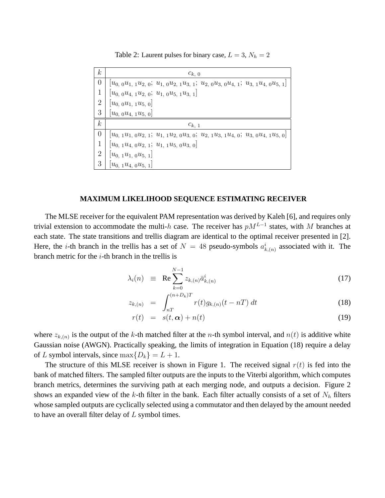Table 2: Laurent pulses for binary case,  $L = 3$ ,  $N_h = 2$ 

| $\boldsymbol{k}$ | $c_{k,0}$                                                                          |
|------------------|------------------------------------------------------------------------------------|
| $\theta$         | $[u_0, 0u_1, 1u_2, 0; u_1, 0u_2, 1u_3, 1; u_2, 0u_3, 0u_4, 1; u_3, 1u_4, 0u_5, 1]$ |
| 1                | $ u_{0, 0}u_{4, 1}u_{2, 0}; u_{1, 0}u_{5, 1}u_{3, 1} $                             |
| $\overline{2}$   | $ u_{0, 0}u_{1, 1}u_{5, 0} $                                                       |
| 3                | $[u_{0, 0}u_{4, 1}u_{5, 0}]$                                                       |
| $\boldsymbol{k}$ | $c_{k,1}$                                                                          |
| $\Omega$         | $[u_0, 1u_1, 0u_2, 1; u_1, 1u_2, 0u_3, 0; u_2, 1u_3, 1u_4, 0; u_3, 0u_4, 1u_5, 0]$ |
| 1                | $[u_{0, 1}u_{4, 0}u_{2, 1}; u_{1, 1}u_{5, 0}u_{3, 0}]$                             |
| 2                | $[u_0, 1u_1, 0u_5, 1]$                                                             |
| 3                | $[u_0, 1u_4, 0u_5, 1]$                                                             |

## **MAXIMUM LIKELIHOOD SEQUENCE ESTIMATING RECEIVER**

The MLSE receiver for the equivalent PAM representation was derived by Kaleh [6], and requires only trivial extension to accommodate the multi-h case. The receiver has  $pM^{L-1}$  states, with M branches at each state. The state transitions and trellis diagram are identical to the optimal receiver presented in [2]. Here, the *i*-th branch in the trellis has a set of  $N = 48$  pseudo-symbols  $a_{k,(n)}^i$  associated with it. The branch metric for the  $i$ -th branch in the trellis is

$$
\lambda_i(n) \equiv \operatorname{Re} \sum_{k=0}^{N-1} z_{k,(n)} \bar{a}_{k,(n)}^i \tag{17}
$$
\n
$$
f^{(n+D_k)T}
$$

$$
z_{k,(n)} = \int_{nT}^{(n+D_k)T} r(t)g_{k,(n)}(t - nT) dt
$$
\n(18)

$$
r(t) = s(t, \alpha) + n(t) \tag{19}
$$

where  $z_{k,(n)}$  is the output of the k-th matched filter at the n-th symbol interval, and  $n(t)$  is additive white Gaussian noise (AWGN). Practically speaking, the limits of integration in Equation (18) require a delay of L symbol intervals, since  $\max\{D_k\} = L + 1$ .

The structure of this MLSE receiver is shown in Figure 1. The received signal  $r(t)$  is fed into the bank of matched filters. The sampled filter outputs are the inputs to the Viterbi algorithm, which computes branch metrics, determines the surviving path at each merging node, and outputs a decision. Figure 2 shows an expanded view of the k-th filter in the bank. Each filter actually consists of a set of  $N_h$  filters whose sampled outputs are cyclically selected using a commutator and then delayed by the amount needed to have an overall filter delay of L symbol times.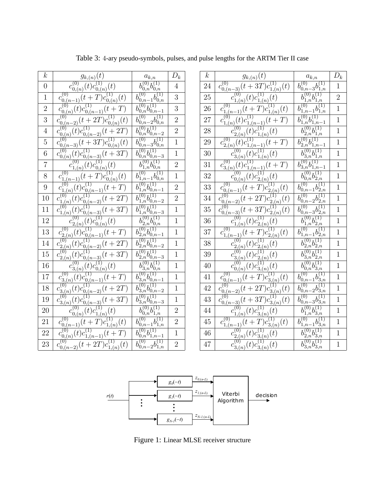| $\boldsymbol{k}$ | $g_{k,(n)}(t)$                                                                                                                                                                       | $a_{k,n}$                                                         | $\mathcal{D}_k$ | $\boldsymbol{k}$ |                                             |
|------------------|--------------------------------------------------------------------------------------------------------------------------------------------------------------------------------------|-------------------------------------------------------------------|-----------------|------------------|---------------------------------------------|
| $\overline{0}$   | $c_{0,(n)}^{(0)}(t)c_{0,(n)}^{(1)}(t)$                                                                                                                                               |                                                                   | $\overline{4}$  | 24               | $c_0^0$                                     |
| $\mathbf{1}$     | $\overline{c_{0,(n-1)}^{(0)}(t+T)}c_{0,(n)}^{(1)}(t)$                                                                                                                                | $\frac{b_{0,n}^{(0)}b_{0,n}^{(1)}}{b_{0,n-1}^{(0)}b_{0,n}^{(1)}}$ | 3               | 25               |                                             |
| $\overline{2}$   | $c_{0,(n)}^{(0)}(t)c_{0,(n-1)}^{(1)}(t+T)$                                                                                                                                           | $\overline{b_{0,n}^{(0)}b_{0,n-1}^{(1)}}$                         | 3               | 26               | $\mathcal{C}$                               |
| 3                | $\overline{c_{0,(n-2)}^{(0)}(t+2T)}c_{0,(n)}^{(1)}(t)$                                                                                                                               | $\overline{b_{0,n-2}^{(0)}b_{0,n}^{(1)}}$                         | $\overline{2}$  | 27               | $\overline{c}$                              |
| $\overline{4}$   | $c_{0,(n)}^{(0)}(t)c_{0,(n-2)}^{(1)}(t+2T)$                                                                                                                                          | $\overline{b_{0,n}^{(0)}b_{0,n-2}^{(1)}}$                         | $\overline{2}$  | 28               |                                             |
| $\overline{5}$   | (0)<br>$c_{0,(n-3)}^{(0)}(t+3T)c_{0,(n)}^{(1)}(t)$                                                                                                                                   | $\overline{b_{0,n-3}^{(0)}b_{0,n}^{(1)}}$                         | $\mathbf{1}$    | 29               | $\mathcal{C}$                               |
| $6\phantom{.}6$  | $c_{0,(n)}^{(0)}(t)c_{0,(n-3)}^{(1)}(t+3T)$                                                                                                                                          | $\overline{b_{0,n}^{(0)}b_{0,n-3}^{(1)}}$                         | $\mathbf{1}$    | 30               |                                             |
| $\overline{7}$   | $c_{1,(n)}^{(0)}(t)c_{0,(n)}^{(1)}(t)$                                                                                                                                               | $\overline{b_{1,n}^{(0)}b_{0,n}^{(1)}}$                           | $\overline{2}$  | 31               | $\overline{c}$                              |
| 8                | $\overline{c_{1,(n-1)}^{(0)}(t+T)}c_{0,(n)}^{(1)}(t)$                                                                                                                                | $\overline{b_{1,n-1}^{(0)}b_{0,n}^{(1)}}$                         | $\mathbf{1}$    | 32               |                                             |
| $\boldsymbol{9}$ | $c_{1,(n)}^{(0)}(t)c_{0,(n-1)}^{(1)}(t+T)$                                                                                                                                           | $\overline{b_{1,n}^{(0)}b_{0,n-1}^{(1)}}$                         | $\overline{2}$  | 33               | $\mathcal{C}$                               |
| 10               | $c_{1,(n)}^{(0)}(t)c_{0,(n-2)}^{(1)}(t+2T)$                                                                                                                                          | $\overline{b_{1,n}^{(0)}b_{0,n-2}^{(1)}}$                         | $\overline{2}$  | 34               | $c_0^{\prime}$                              |
| 11               | $c_{1,(n)}^{(0)}(t)c_{0,(n-3)}^{(1)}(t+3T)$                                                                                                                                          | $b_{1,n}^{(0)}b_{0,n-3}^{(1)}$                                    | $\mathbf{1}$    | 35               | $c_0^0$                                     |
| 12               |                                                                                                                                                                                      | $\overline{b_{2,n}^{(0)}b_{0,n}^{(1)}}$                           | $\mathbf{1}$    | 36               |                                             |
| 13               | $\frac{c_{2,(n)}^{(0)}(t)c_{0,(n)}^{(1)}(t)}{c_{2,(n)}^{(0)}(t)c_{0,(n-1)}^{(1)}(t+T)} \ \frac{c_{2,(n)}^{(0)}(t)c_{0,(n-1)}^{(1)}(t+T)}{c_{2,(n)}^{(0)}(t)c_{0,(n-2)}^{(1)}(t+2T)}$ | $\overline{b_{2,n}^{(0)}b_{0,n-1}^{(1)}}$                         | $\mathbf{1}$    | 37               | $\mathcal{C}$                               |
| 14               |                                                                                                                                                                                      | $b_{2,n}^{(0)}b_{0,n-2}^{(1)}$                                    | $\mathbf{1}$    | 38               |                                             |
| 15               | $c_{2,(n)}^{(0)}(t)c_{0,(n-3)}^{(1)}(t+3T)$                                                                                                                                          | $\overline{b_{2,n}^{(0)}b_{0,n-3}^{(1)}}$                         | $\mathbf{1}$    | 39               |                                             |
| 16               | $\frac{c_{3,(n)}^{(0)}(t)c_{0,(n)}^{(1)}(t)}{c_{3,(n)}^{(0)}(t)c_{0,(n-1)}^{(1)}(t)} \ \frac{c_{3,(n)}^{(0)}(t)c_{0,(n-1)}^{(1)}(t+T)}{c_{3,(n)}^{(0)}(t)c_{0,(n-2)}^{(1)}(t+2T)}$   | $b_{3,n}^{(0)}b_{0,n}^{(1)}$                                      | $\mathbf{1}$    | 40               |                                             |
| 17               |                                                                                                                                                                                      | $\overline{b_{3,n}^{(0)}b_{0,n-1}^{(1)}}$                         | $\mathbf{1}$    | 41               | $\overline{c}$                              |
| 18               |                                                                                                                                                                                      | $\overline{b_{3,n}^{(0)}b_{0,n-2}^{(1)}}$                         | $\mathbf{1}$    | 42               | $c_0$ <sup><math>\left(\right)</math></sup> |
| 19               | $c_{3,(n)}^{(0)}(t)c_{0,(n-3)}^{(1)}(t+3T)$                                                                                                                                          | $\overline{b_{3,n}^{(0)}b_{0,n-3}^{(1)}}$                         | $\mathbf{1}$    | 43               | $c_0^0$                                     |
| 20               | $c_{0,(n)}^{(0)}(t)c_{1,(n)}^{(1)}(t)$                                                                                                                                               | $b_{0,n}^{(0)}b_{1,n}^{(1)}$                                      | $\overline{2}$  | 44               |                                             |
| 21               | $c_{0,(n-1)}^{(0)}(t+T)c_{1,(n)}^{(1)}(t)$                                                                                                                                           | $\overline{b_{0,n-1}^{(0)}b_{1,n}^{(1)}}$                         | $\overline{2}$  | 45               | $\overline{c}$                              |
| $22\,$           | $c_{0,(n)}^{(0)}(t)c_{1,(n-1)}^{(1)}(t+T)$                                                                                                                                           | $\overline{b_{0,n}^{(0)}b_{1,n-1}^{(1)}}$                         | $\mathbf{1}$    | 46               |                                             |
| $23\,$           | $\overline{c_{0,(n-2)}^{(0)}(t+2T)}c_{1,(n)}^{(1)}(t)$                                                                                                                               | $\overline{b_{0,n-2}^{(0)}b_{1,n}^{(1)}}$                         | $\overline{2}$  | 47               |                                             |

Table 3: 4-ary pseudo-symbols, pulses, and pulse lengths for the ARTM Tier II case

| $\boldsymbol{k}$ | $g_{k,(n)}(t)$                                                                              | $a_{k,n}$                                              | $\mathcal{D}_k$ | $\boldsymbol{k}$ | $g_{k,(n)}(t)$                                                                              | $a_{k,n}$                                        | $D_k$          |
|------------------|---------------------------------------------------------------------------------------------|--------------------------------------------------------|-----------------|------------------|---------------------------------------------------------------------------------------------|--------------------------------------------------|----------------|
| $\overline{0}$   | $c_{0,(n)}^{(0)}(t)c_{0,(n)}^{(1)}(t)$                                                      | $\overline{b_{0,n}^{(0)}b_{0,n}^{(1)}}$                | 4               | 24               | $c_{0,(n-3)}^{(0)}(t+3T)c_{1,(n)}^{(1)}(t)$                                                 | $\overline{b_{0,n-3}^{(0)}b_{1,n}^{(1)}}$        | $\mathbf{1}$   |
| $\mathbf{1}$     | $c_{0,(n-1)}^{(0)}(t+T)c_{0,(n)}^{(1)}(t)$                                                  | $\overline{b_{0,n-1}^{(0)}b_{0,n}^{(1)}}$              | 3               | 25               | $c_{1,(n)}^{(0)}(t)c_{1,(n)}^{(1)}(t)$                                                      | $\overline{b_{1,n}^{(0)}b_{1,n}^{(1)}}$          | $\overline{2}$ |
| $\overline{2}$   | $\overline{c_{0,(n)}^{(0)}(t)}c_{0,(n-1)}^{(1)}(t+T)$                                       | $\overline{b_{0,n}^{(0)}b_{0,n-1}^{(1)}}$              | 3               | 26               | $\overline{c_{1,(n-1)}^{(0)}(t+T)}c_{1,(n)}^{(1)}(t)$                                       | $\overline{b_{1,n-1}^{(0)}b_{1,n}^{(1)}}$        | $\mathbf{1}$   |
| $\overline{3}$   | $\overline{C^{(0)}_{0,(n-2)}(t+2T)}c^{(1)}_{0,(n)}(t)$                                      | $\overline{b_{0,n-2}^{(0)}b_{0,n}^{(1)}}$              | $\overline{2}$  | 27               | $c_{1,(n)}^{(0)}(t)c_{1,(n-1)}^{(1)}(t+T)$                                                  | $\overline{b_{1,n}^{(0)}b_{1,n-1}^{(1)}}$        | $\mathbf{1}$   |
| $\overline{4}$   | $c_{0,(n)}^{(0)}(t)c_{0,(n-2)}^{(1)}(t+2T)$                                                 | $\overline{b_{0,n}^{(0)}b_{0,n-2}^{(1)}}$              | $\overline{2}$  | 28               | $c_{2,(n)}^{(0)}(t)c_{1,(n)}^{(1)}(t)$                                                      | $\overline{b_{2,n}^{(0)}b_{1,n}^{(1)}}$          | $\mathbf{1}$   |
| $\frac{1}{5}$    | $\overline{C^{(0)}_{0,(n-3)}(t+3T)}c^{(1)}_{0,(n)}(t)$                                      | $\overline{b_{0,n-3}^{(0)}b_{0,n}^{(1)}}$              | $\mathbf{1}$    | 29               | $\frac{c_{2,(n)}^{(0)}(t)c_{1,(n-1)}^{(1)}(t+T)}{c_{2,(n)}^{(0)}(t)c_{1,(n-1)}^{(1)}(t+T)}$ | $\overline{b_{2,n}^{(0)}b_{1,n-1}^{(1)}}$        | $\mathbf{1}$   |
| $\overline{6}$   | $c_{0,(n)}^{(\vec{0})}(t)c_{0,(n-3)}^{(1)}(t+3T)$                                           | $\overline{b_{0,n}^{(0)}b_{0,n-3}^{(1)}}$              | $\mathbf{1}$    | 30               | $c_{3,(n)}^{(0)}(t)c_{1,(n)}^{(1)}(t)$                                                      | $\overline{b_{3,n}^{(0)}b_{1,n}^{(1)}}$          | $\mathbf{1}$   |
| $\frac{1}{7}$    | $c_{1,(n)}^{(0)}(t)c_{0,(n)}^{(1)}(t)$                                                      | $\overline{b_{1,n}^{(0)}b_{0,n}^{(1)}}$                | $\overline{2}$  | 31               | $c_{3,(n)}^{(0)}(t)c_{1,(n-1)}^{(1)}(t+T)$                                                  | $\overline{b_{3,n}^{(0)}b_{1,n-1}^{(1)}}$        | $\mathbf{1}$   |
| $\frac{8}{ }$    | $\overline{c_{1,(n-1)}^{(0)}(t+T)}c_{0,(n)}^{(1)}(t)$                                       | $\overline{b_{1,n-1}^{(0)}b_{0,n}^{(1)}}$              | 1               | 32               | $c_{0,(n)}^{(0)}(t)c_{2,(n)}^{(1)}(t)$                                                      | $\overline{b_{0,n}^{(0)}b_{2,n}^{(1)}}$          | $\mathbf{1}$   |
| $\frac{9}{1}$    | $c_{1,(n)}^{(0)}(t)c_{0,(n-1)}^{(1)}(t+T)$                                                  | $\overline{b_{1,n}^{(0)}b_{0,n-1}^{(1)}}$              | $\overline{2}$  | 33               | $c_{0,(n-1)}^{(0)}(t+T)c_{2,(n)}^{(1)}(t)$                                                  | $\overline{b_{0,n-1}^{(0)}b_{2,n}^{(1)}}$        | $\mathbf{1}$   |
| $\overline{10}$  | $\overline{c_{1,(n)}^{(0)}(t)c_{0,(n-2)}^{(1)}(t+2T)}$                                      | $(0)$ , $(1)$<br>$b_{1,n} b_{0,n-2}$                   | $\overline{2}$  | 34               | $\overline{c_{0,(n-2)}^{(0)}(t+2T)c_{2,(n)}^{(1)}(t)}$                                      | (0)<br>$\overline{b_{0,n-2}^{(0)}b_{2,n}^{(1)}}$ | $\mathbf{1}$   |
| $\overline{11}$  | $c_{1,(n)}^{(0)}(t)c_{0,(n-3)}^{(1)}(t+3T)$                                                 | $(0)$ , $(1)$<br>$b_{1,n}^{(0)}b_{0,n-3}^{(-)}$        | $\mathbf{1}$    | 35               | $c_{0,(n-3)}^{(0)}(t+3T)c_{2,(n)}^{(1)}(t)$                                                 | $b_{0,n-3}^{(0)}b_{2,n}^{(1)}$                   | $\mathbf{1}$   |
| $\overline{12}$  | $c_{2,(n)}^{(0)}(t)c_{0,(n)}^{(1)}(t)$                                                      | $\overline{b_{2,n}^{(0)}b_{0,n}^{(1)}}$                | $\mathbf{1}$    | 36               | $c_{1,(n)}^{(0)}(t)c_{2,(n)}^{(1)}(t)$                                                      | $\overline{b_{1,n}^{(0)}b_{2,n}^{(1)}}$          | $\mathbf{1}$   |
| $rac{12}{13}$    | $\frac{c_{2,(n)}^{(0)}(t)c_{0,(n-1)}^{(1)}(t+T)}{c_{2,(n)}^{(0)}(t)c_{0,(n-1)}^{(1)}(t+T)}$ | $\overline{b_{2,n}^{(0)}b_{0,n-1}^{(1)}}$              | $\mathbf{1}$    | 37               | $\overline{c_{1,(n-1)}^{(0)}(t+T)c_{2,(n)}^{(1)}(t)}$                                       | $\overline{b_{1,n-1}^{(0)}b_{2,n}^{(1)}}$        | $\mathbf{1}$   |
| $\overline{14}$  | $\overline{c_{2,(n)}^{(0)}(t)c_{0,(n-2)}^{(1)}(t+2T)}$                                      | $\overline{b_{2,n}^{(0)}b_{0,n-2}^{(1)}}$              | $\mathbf{1}$    | 38               | $c_{2,(n)}^{(0)}(t)c_{2,(n)}^{(1)}(t)$                                                      | $\overline{b_{2,n}^{(0)}b_{2,n}^{(1)}}$          | $\mathbf{1}$   |
| $15\,$           | $c_{2,(n)}^{(0)}(t)c_{0,(n-3)}^{(1)}(t+3T)$                                                 | $\overline{b_{2,n}^{(0)}b_{0,n-3}^{(1)}}$              | $\mathbf{1}$    | 39               | $c_{3,(n)}^{(0)}(t)c_{2,(n)}^{(1)}(t)$                                                      | $\overline{b_{3,n}^{(0)}b_{2,n}^{(1)}}$          | $\mathbf{1}$   |
| $\frac{16}{1}$   | $c_{3,(n)}^{(0)}(t)c_{0,(n)}^{(1)}(t)$                                                      | $\overline{b_{3,n}^{(0)}b_{0,n}^{(1)}}$                | $\mathbf{1}$    | 40               | $c_{0,(n)}^{(0)}(t)c_{3,(n)}^{(1)}(t)$                                                      | $b_{0,n}^{(0)}b_{3,n}^{(1)}$                     | $\mathbf{1}$   |
| $17\,$           | $\frac{c_{3,(n)}^{(0)}(t)c_{0,(n-1)}^{(1)}(t+T)}{c_{3,(n)}^{(0)}(t+c)}$                     | $\overline{b_{3,n}^{(0)}b_{0,n-1}^{(1)}}$              | $\mathbf{1}$    | 41               | $\overline{c_{0,(n-1)}^{(0)}(t+T)}c_{3,(n)}^{(1)}(t)$                                       | $\overline{b_{0,n-1}^{(0)}b_{3,n}^{(1)}}$        | $\mathbf{1}$   |
| $\sqrt{8}$       | $\overline{c_{3,(n)}^{(0)}(t)c_{0,(n-2)}^{(1)}(t+2T)}$                                      | $_{l}^{(0)}$ $_{l}^{(1)}$<br>$b_{3,n} b_{0,n-2}$       | $\mathbf{1}$    | 42               | $\overline{c_{0,(n-2)}^{(0)}(t+2T)c_{3,(n)}^{(1)}(t)}$                                      | $\overline{b_{0,n-2}^{(0)}b_{3,n}^{(1)}}$        | $\mathbf{1}$   |
| 19               | $c_{3,(n)}^{(0)}(t)c_{0,(n-3)}^{(1)}(t+3T)$<br>$(0)^{-}$                                    | $\overline{b_{3,n}^{(0)}b_{0,n-3}^{(1)}}$              | $\mathbf{1}$    | 43               | $c_{0,(n-3)}^{(0)}(t+3T)c_{3,(n)}^{(1)}(t)$                                                 | $\overline{b_{0,n-3}^{(0)}b_{3,n}^{(1)}}$        | $\mathbf{1}$   |
| $\frac{20}{21}$  | $(c_{0,(n)}^{(0)}(t)c_{1,(n)}^{(1)}(t))$                                                    | $\overline{b_{0,n}^{(0)}b_{1,n}^{(1)}}$                | $\overline{2}$  | 44               | $c_{1,(n)}^{(0)}(t)c_{3,(n)}^{(1)}(t)$                                                      | $\overline{b_{1,n}^{(0)}b_{3,n}^{(1)}}$          | $\mathbf{1}$   |
|                  | $\overline{c_{0,(n-1)}^{(0)}(t+T)}c_{1,(n)}^{(1)}(t)$                                       | $\overline{b_{0,n-1}^{(0)}b_{1,n}^{(1)}}$              | $\overline{2}$  | 45               | $\overline{c_{1,(n-1)}^{(0)}(t+T)}c_{3,(n)}^{(1)}(t)$                                       | $\overline{b_{1,n-1}^{(0)}b_{3,n}^{(1)}}$        | $\mathbf{1}$   |
| $\frac{22}{1}$   | $c_{0,(n)}^{(0)}(t)c_{1,(n-1)}^{(1)}(t+T)$                                                  | $\overline{b_{0,n}^{(0)}b_{1,n-1}^{(1)}}$              | $\mathbf{1}$    | 46               | $c_{2,(n)}^{(0)}(t)c_{3,(n)}^{(1)}(t)$                                                      | $\overline{b_{2,n}^{(0)}b_{3,n}^{(1)}}$          | $\mathbf{1}$   |
| 23               | $\overline{c_{0,(n-2)}^{(0)}(t+2T)}c_{1,(n)}^{(1)}(t)$                                      | $\overline{k^{(0)}}$<br>$b_{0,n-2}^{(0)}b_{1,n}^{(1)}$ | $\overline{2}$  | $47\,$           | $\overline{c_{3,(n)}^{(0)}(t)c_{3,(n)}^{(1)}(t)}$                                           | $\overline{b_{3,n}^{(0)}b_{3,n}^{(1)}}$          | $\mathbf{1}$   |



Figure 1: Linear MLSE receiver structure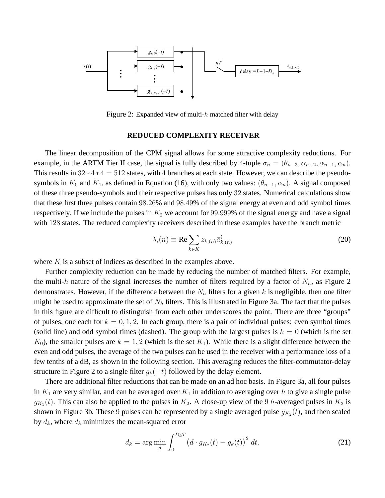

Figure 2: Expanded view of multi-h matched filter with delay

## **REDUCED COMPLEXITY RECEIVER**

The linear decomposition of the CPM signal allows for some attractive complexity reductions. For example, in the ARTM Tier II case, the signal is fully described by 4-tuple  $\sigma_n = (\theta_{n-3}, \alpha_{n-2}, \alpha_{n-1}, \alpha_n)$ . This results in  $32*4*4 = 512$  states, with 4 branches at each state. However, we can describe the pseudosymbols in  $K_0$  and  $K_1$ , as defined in Equation (16), with only two values:  $(\theta_{n-1}, \alpha_n)$ . A signal composed of these three pseudo-symbols and their respective pulses has only 32 states. Numerical calculations show that these first three pulses contain 98.26% and 98.49% of the signal energy at even and odd symbol times respectively. If we include the pulses in  $K_2$  we account for 99.999% of the signal energy and have a signal with 128 states. The reduced complexity receivers described in these examples have the branch metric

$$
\lambda_i(n) \equiv \text{Re} \sum_{k \in K} z_{k,(n)} \bar{a}_{k,(n)}^i \tag{20}
$$

where  $K$  is a subset of indices as described in the examples above.

Further complexity reduction can be made by reducing the number of matched filters. For example, the multi-h nature of the signal increases the number of filters required by a factor of  $N_h$ , as Figure 2 demonstrates. However, if the difference between the  $N_h$  filters for a given k is negligible, then one filter might be used to approximate the set of  $N_h$  filters. This is illustrated in Figure 3a. The fact that the pulses in this figure are difficult to distinguish from each other underscores the point. There are three "groups" of pulses, one each for  $k = 0, 1, 2$ . In each group, there is a pair of individual pulses: even symbol times (solid line) and odd symbol times (dashed). The group with the largest pulses is  $k = 0$  (which is the set  $K_0$ ), the smaller pulses are  $k = 1, 2$  (which is the set  $K_1$ ). While there is a slight difference between the even and odd pulses, the average of the two pulses can be used in the receiver with a performance loss of a few tenths of a dB, as shown in the following section. This averaging reduces the filter-commutator-delay structure in Figure 2 to a single filter  $g_k(-t)$  followed by the delay element.

There are additional filter reductions that can be made on an ad hoc basis. In Figure 3a, all four pulses in  $K_1$  are very similar, and can be averaged over  $K_1$  in addition to averaging over h to give a single pulse  $g_{K_1}(t)$ . This can also be applied to the pulses in  $K_2$ . A close-up view of the 9 h-averaged pulses in  $K_2$  is shown in Figure 3b. These 9 pulses can be represented by a single averaged pulse  $g_{K_2}(t)$ , and then scaled by  $d_k$ , where  $d_k$  minimizes the mean-squared error

$$
d_k = \arg\min_{d} \int_0^{D_k T} \left( d \cdot g_{K_2}(t) - g_k(t) \right)^2 dt.
$$
 (21)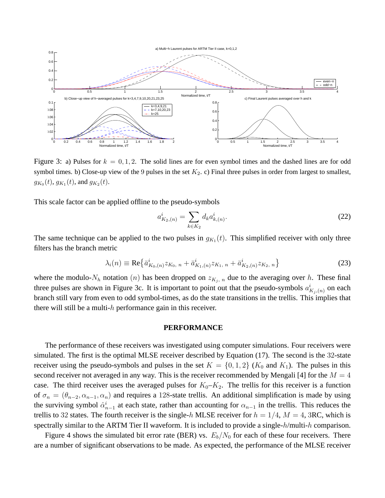

Figure 3: a) Pulses for  $k = 0, 1, 2$ . The solid lines are for even symbol times and the dashed lines are for odd symbol times. b) Close-up view of the 9 pulses in the set  $K_2$ . c) Final three pulses in order from largest to smallest,  $g_{K_0}(t)$ ,  $g_{K_1}(t)$ , and  $g_{K_2}(t)$ .

This scale factor can be applied offline to the pseudo-symbols

$$
a_{K_2,(n)}^i = \sum_{k \in K_2} d_k a_{k,(n)}^i.
$$
 (22)

The same technique can be applied to the two pulses in  $g_{K_1}(t)$ . This simplified receiver with only three filters has the branch metric

$$
\lambda_i(n) \equiv \text{Re}\left\{\bar{a}_{K_0,(n)}^i z_{K_0,n} + \bar{a}_{K_1,(n)}^i z_{K_1,n} + \bar{a}_{K_2,(n)}^i z_{K_2,n}\right\}
$$
(23)

where the modulo- $N_h$  notation  $(n)$  has been dropped on  $z_{K_i, n}$  due to the averaging over h. These final three pulses are shown in Figure 3c. It is important to point out that the pseudo-symbols  $a_{K_j,(n)}^i$  on each branch still vary from even to odd symbol-times, as do the state transitions in the trellis. This implies that there will still be a multi- $h$  performance gain in this receiver.

## **PERFORMANCE**

The performance of these receivers was investigated using computer simulations. Four receivers were simulated. The first is the optimal MLSE receiver described by Equation (17). The second is the 32-state receiver using the pseudo-symbols and pulses in the set  $K = \{0, 1, 2\}$  ( $K_0$  and  $K_1$ ). The pulses in this second receiver not averaged in any way. This is the receiver recommended by Mengali [4] for the  $M = 4$ case. The third receiver uses the averaged pulses for  $K_0-K_2$ . The trellis for this receiver is a function of  $\sigma_n = (\theta_{n-2}, \alpha_{n-1}, \alpha_n)$  and requires a 128-state trellis. An additional simplification is made by using the surviving symbol  $\hat{\alpha}_{n-1}^i$  at each state, rather than accounting for  $\alpha_{n-1}$  in the trellis. This reduces the trellis to 32 states. The fourth receiver is the single-h MLSE receiver for  $h = 1/4$ ,  $M = 4$ , 3RC, which is spectrally similar to the ARTM Tier II waveform. It is included to provide a single-h/multi-h comparison.

Figure 4 shows the simulated bit error rate (BER) vs.  $E_b/N_0$  for each of these four receivers. There are a number of significant observations to be made. As expected, the performance of the MLSE receiver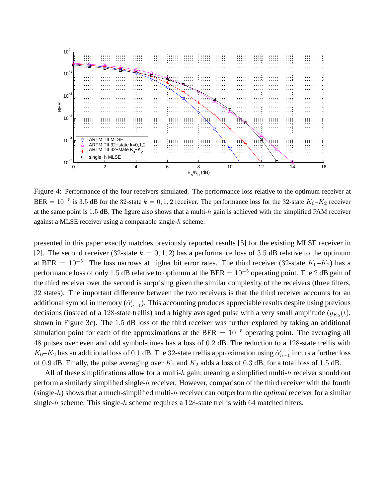

Figure 4: Performance of the four receivers simulated. The performance loss relative to the optimum receiver at BER =  $10^{-5}$  is 3.5 dB for the 32-state  $k = 0, 1, 2$  receiver. The performance loss for the 32-state  $K_0 - K_2$  receiver at the same point is 1.5 dB. The figure also shows that a multi-h gain is achieved with the simplified PAM receiver against a MLSE receiver using a comparable single-h scheme.

presented in this paper exactly matches previously reported results [5] for the existing MLSE receiver in [2]. The second receiver (32-state  $k = 0, 1, 2$ ) has a performance loss of 3.5 dB relative to the optimum at BER =  $10^{-5}$ . The loss narrows at higher bit error rates. The third receiver (32-state  $K_0-K_2$ ) has a performance loss of only 1.5 dB relative to optimum at the BER =  $10^{-5}$  operating point. The 2 dB gain of the third receiver over the second is surprising given the similar complexity of the receivers (three filters, 32 states). The important difference between the two receivers is that the third receiver accounts for an additional symbol in memory  $(\hat{\alpha}_{n-1}^i)$ . This accounting produces appreciable results despite using previous decisions (instead of a 128-state trellis) and a highly averaged pulse with a very small amplitude  $(g_{K_2}(t)$ , shown in Figure 3c). The 1.5 dB loss of the third receiver was further explored by taking an additional simulation point for each of the approximations at the BER =  $10^{-5}$  operating point. The averaging all 48 pulses over even and odd symbol-times has a loss of 0.2 dB. The reduction to a 128-state trellis with  $K_0-K_2$  has an additional loss of 0.1 dB. The 32-state trellis approximation using  $\hat{\alpha}_{n-1}^i$  incurs a further loss of 0.9 dB. Finally, the pulse averaging over  $K_1$  and  $K_2$  adds a loss of 0.3 dB, for a total loss of 1.5 dB.

All of these simplifications allow for a multi-h gain; meaning a simplified multi-h receiver should out perform a similarly simplified single-h receiver. However, comparison of the third receiver with the fourth (single-h) shows that a much-simplified multi-h receiver can outperform the *optimal* receiver for a similar single-h scheme. This single-h scheme requires a 128-state trellis with 64 matched filters.